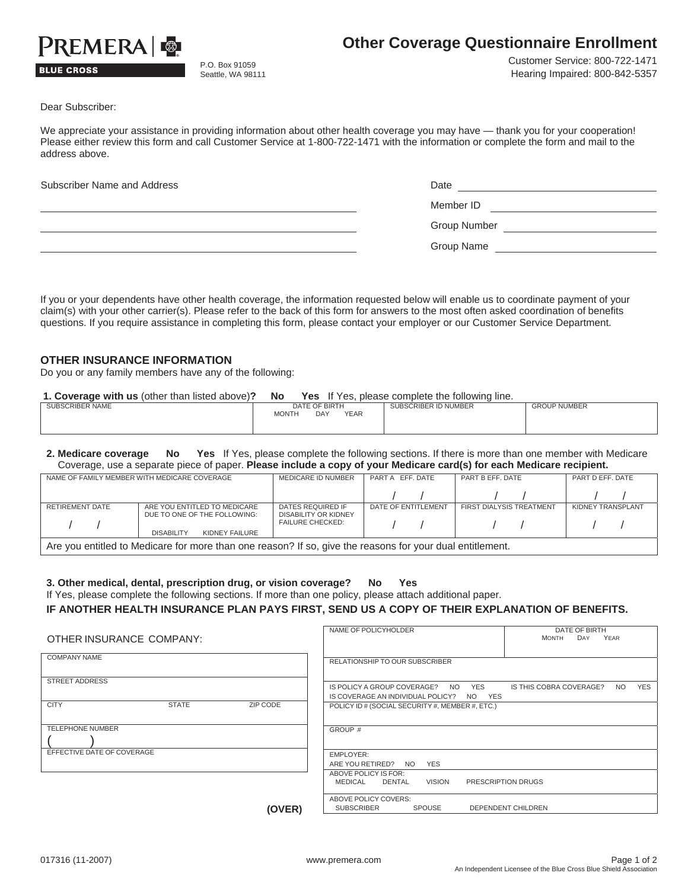

## **BLUE CROSS**

P.O. Box 91059 Seattle, WA 98111 Customer Service: 800-722-1471 Hearing Impaired: 800-842-5357

Dear Subscriber:

We appreciate your assistance in providing information about other health coverage you may have — thank you for your cooperation! Please either review this form and call Customer Service at 1-800-722-1471 with the information or complete the form and mail to the address above.

| Subscriber Name and Address | Date         |
|-----------------------------|--------------|
|                             | Member ID    |
|                             | Group Number |
|                             | Group Name   |

If you or your dependents have other health coverage, the information requested below will enable us to coordinate payment of your claim(s) with your other carrier(s). Please refer to the back of this form for answers to the most often asked coordination of benefits questions. If you require assistance in completing this form, please contact your employer or our Customer Service Department.

## **OTHER INSURANCE INFORMATION**

Do you or any family members have any of the following:

| 1. Coverage with us (other than listed above)? | No           |               |             | <b>Yes</b> If Yes, please complete the following line. |                     |
|------------------------------------------------|--------------|---------------|-------------|--------------------------------------------------------|---------------------|
| SUBSCRIBER NAME                                |              | DATE OF BIRTH |             | SUBSCRIBER ID NUMBER                                   | <b>GROUP NUMBER</b> |
|                                                | <b>MONTH</b> | <b>DAY</b>    | <b>YEAR</b> |                                                        |                     |

**2. Medicare coverage No Yes** If Yes, please complete the following sections. If there is more than one member with Medicare Coverage, use a separate piece of paper. **Please include a copy of your Medicare card(s) for each Medicare recipient.** 

|                                                                                                           | NAME OF FAMILY MEMBER WITH MEDICARE COVERAGE | MEDICARE ID NUMBER                              | PART A EFF, DATE    | PART B EFF. DATE         | PART D EFF. DATE  |  |  |
|-----------------------------------------------------------------------------------------------------------|----------------------------------------------|-------------------------------------------------|---------------------|--------------------------|-------------------|--|--|
|                                                                                                           |                                              |                                                 |                     |                          |                   |  |  |
| RETIREMENT DATE                                                                                           | ARE YOU ENTITLED TO MEDICARE                 |                                                 | DATE OF ENTITLEMENT | FIRST DIALYSIS TREATMENT | KIDNEY TRANSPLANT |  |  |
|                                                                                                           | DUE TO ONE OF THE FOLLOWING:                 | DISABILITY OR KIDNEY<br><b>FAILURE CHECKED:</b> |                     | $\sqrt{1}$               |                   |  |  |
|                                                                                                           | KIDNEY FAILURE<br><b>DISABILITY</b>          |                                                 |                     |                          |                   |  |  |
| Are you entitled to Medicare for more than one reason? If so, give the reasons for your dual entitlement. |                                              |                                                 |                     |                          |                   |  |  |

**3. Other medical, dental, prescription drug, or vision coverage? No Yes**

|  |  |  | If Yes, please complete the following sections. If more than one policy, please attach additional paper. |  |
|--|--|--|----------------------------------------------------------------------------------------------------------|--|
|  |  |  |                                                                                                          |  |

## **IF ANOTHER HEALTH INSURANCE PLAN PAYS FIRST, SEND US A COPY OF THEIR EXPLANATION OF BENEFITS.**

| OTHER INSURANCE COMPANY:                | NAME OF POLICYHOLDER<br>DATE OF BIRTH<br>DAY<br><b>MONTH</b><br>YEAR                                                                 |
|-----------------------------------------|--------------------------------------------------------------------------------------------------------------------------------------|
| <b>COMPANY NAME</b>                     | RELATIONSHIP TO OUR SUBSCRIBER                                                                                                       |
| <b>STREET ADDRESS</b>                   | <b>YES</b><br>IS POLICY A GROUP COVERAGE? NO YES<br>IS THIS COBRA COVERAGE?<br><b>NO</b><br>IS COVERAGE AN INDIVIDUAL POLICY? NO YES |
| ZIP CODE<br><b>CITY</b><br><b>STATE</b> | POLICY ID # (SOCIAL SECURITY #, MEMBER #, ETC.)                                                                                      |
| <b>TELEPHONE NUMBER</b>                 | GROUP #                                                                                                                              |
| EFFECTIVE DATE OF COVERAGE              | EMPLOYER:<br>ARE YOU RETIRED?<br>NO YES                                                                                              |
|                                         | ABOVE POLICY IS FOR:<br>PRESCRIPTION DRUGS<br>VISION<br>MEDICAL<br>DENTAL                                                            |
| (OVER)                                  | ABOVE POLICY COVERS:<br><b>SUBSCRIBER</b><br><b>SPOUSE</b><br>DEPENDENT CHILDREN                                                     |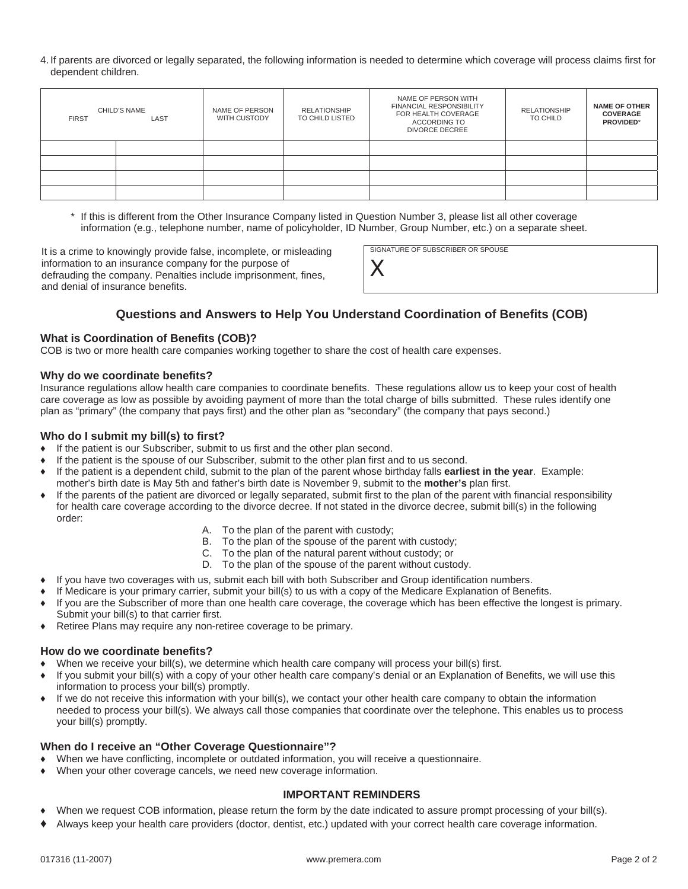4. If parents are divorced or legally separated, the following information is needed to determine which coverage will process claims first for dependent children.

| CHILD'S NAME<br>LAST<br><b>FIRST</b> |  | NAME OF PERSON<br>WITH CUSTODY | <b>RELATIONSHIP</b><br>TO CHILD LISTED | NAME OF PERSON WITH<br><b>FINANCIAL RESPONSIBILITY</b><br>FOR HEALTH COVERAGE<br><b>ACCORDING TO</b><br><b>DIVORCE DECREE</b> |  | <b>NAME OF OTHER</b><br><b>COVERAGE</b><br>PROVIDED* |
|--------------------------------------|--|--------------------------------|----------------------------------------|-------------------------------------------------------------------------------------------------------------------------------|--|------------------------------------------------------|
|                                      |  |                                |                                        |                                                                                                                               |  |                                                      |
|                                      |  |                                |                                        |                                                                                                                               |  |                                                      |
|                                      |  |                                |                                        |                                                                                                                               |  |                                                      |
|                                      |  |                                |                                        |                                                                                                                               |  |                                                      |

\* If this is different from the Other Insurance Company listed in Question Number 3, please list all other coverage information (e.g., telephone number, name of policyholder, ID Number, Group Number, etc.) on a separate sheet.

It is a crime to knowingly provide false, incomplete, or misleading information to an insurance company for the purpose of defrauding the company. Penalties include imprisonment, fines, and denial of insurance benefits.

SIGNATURE OF SUBSCRIBER OR SPOUSE

## **Questions and Answers to Help You Understand Coordination of Benefits (COB)**

*X*

## **What is Coordination of Benefits (COB)?**

COB is two or more health care companies working together to share the cost of health care expenses.

## **Why do we coordinate benefits?**

Insurance regulations allow health care companies to coordinate benefits. These regulations allow us to keep your cost of health care coverage as low as possible by avoiding payment of more than the total charge of bills submitted. These rules identify one plan as "primary" (the company that pays first) and the other plan as "secondary" (the company that pays second.)

## **Who do I submit my bill(s) to first?**

- Ƈ If the patient is our Subscriber, submit to us first and the other plan second.
- If the patient is the spouse of our Subscriber, submit to the other plan first and to us second.
- Ƈ If the patient is a dependent child, submit to the plan of the parent whose birthday falls **earliest in the year**. Example: mother's birth date is May 5th and father's birth date is November 9, submit to the **mother's** plan first.
- Ƈ If the parents of the patient are divorced or legally separated, submit first to the plan of the parent with financial responsibility for health care coverage according to the divorce decree. If not stated in the divorce decree, submit bill(s) in the following order:
	- A. To the plan of the parent with custody;
	- B. To the plan of the spouse of the parent with custody;
	- C. To the plan of the natural parent without custody; or
	- D. To the plan of the spouse of the parent without custody.
- Ƈ If you have two coverages with us, submit each bill with both Subscriber and Group identification numbers.
- If Medicare is your primary carrier, submit your bill(s) to us with a copy of the Medicare Explanation of Benefits.
- Ƈ If you are the Subscriber of more than one health care coverage, the coverage which has been effective the longest is primary. Submit your bill(s) to that carrier first.
- Retiree Plans may require any non-retiree coverage to be primary.

## **How do we coordinate benefits?**

- When we receive your bill(s), we determine which health care company will process your bill(s) first.
- If you submit your bill(s) with a copy of your other health care company's denial or an Explanation of Benefits, we will use this information to process your bill(s) promptly.
- If we do not receive this information with your bill(s), we contact your other health care company to obtain the information needed to process your bill(s). We always call those companies that coordinate over the telephone. This enables us to process your bill(s) promptly.

## **When do I receive an "Other Coverage Questionnaire"?**

- When we have conflicting, incomplete or outdated information, you will receive a questionnaire.
- When your other coverage cancels, we need new coverage information.

## **IMPORTANT REMINDERS**

- When we request COB information, please return the form by the date indicated to assure prompt processing of your bill(s).
- Ƈ Always keep your health care providers (doctor, dentist, etc.) updated with your correct health care coverage information.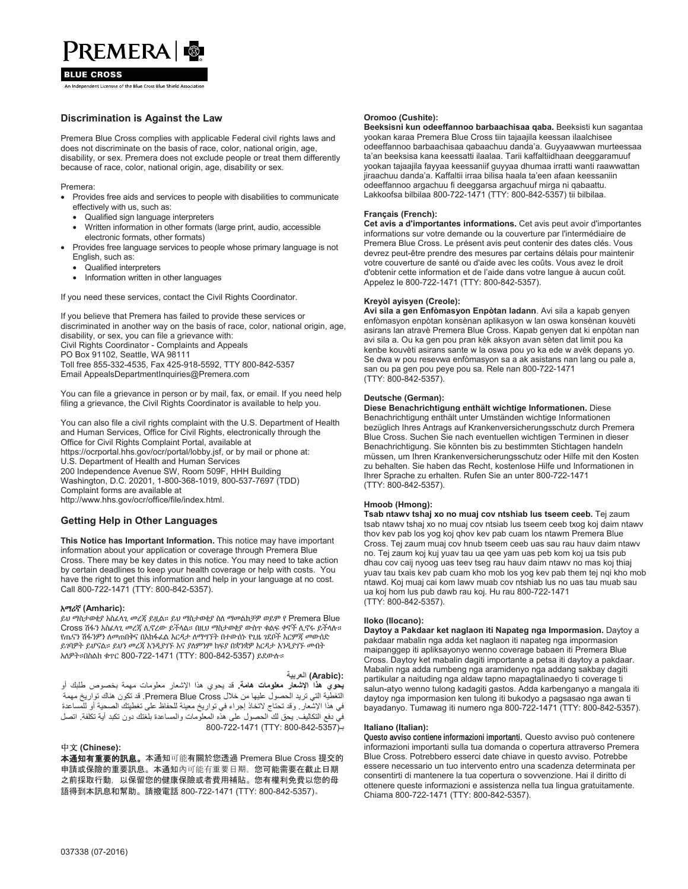# PREMERA &

#### **BLUE CROSS**

.<br>An Independent Licensee of the Blue Cross Blue Shield Associatio

## **Discrimination is Against the Law**

Premera Blue Cross complies with applicable Federal civil rights laws and does not discriminate on the basis of race, color, national origin, age, disability, or sex. Premera does not exclude people or treat them differently because of race, color, national origin, age, disability or sex.

Premera:

- Provides free aids and services to people with disabilities to communicate effectively with us, such as:
	- Qualified sign language interpreters
	- Written information in other formats (large print, audio, accessible electronic formats, other formats)
- Provides free language services to people whose primary language is not English, such as:
	- Qualified interpreters
	- Information written in other languages

If you need these services, contact the Civil Rights Coordinator.

If you believe that Premera has failed to provide these services or discriminated in another way on the basis of race, color, national origin, age, disability, or sex, you can file a grievance with: Civil Rights Coordinator - Complaints and Appeals PO Box 91102, Seattle, WA 98111 Toll free 855-332-4535, Fax 425-918-5592, TTY 800-842-5357 Email AppealsDepartmentInquiries@Premera.com

You can file a grievance in person or by mail, fax, or email. If you need help filing a grievance, the Civil Rights Coordinator is available to help you.

You can also file a civil rights complaint with the U.S. Department of Health and Human Services, Office for Civil Rights, electronically through the Office for Civil Rights Complaint Portal, available at https://ocrportal.hhs.gov/ocr/portal/lobby.jsf, or by mail or phone at: U.S. Department of Health and Human Services 200 Independence Avenue SW, Room 509F, HHH Building Washington, D.C. 20201, 1-800-368-1019, 800-537-7697 (TDD)

Complaint forms are available at

http://www.hhs.gov/ocr/office/file/index.html.

### **Getting Help in Other Languages**

**This Notice has Important Information.** This notice may have important information about your application or coverage through Premera Blue Cross. There may be key dates in this notice. You may need to take action by certain deadlines to keep your health coverage or help with costs. You have the right to get this information and help in your language at no cost. Call 800-722-1471 (TTY: 800-842-5357).

#### - **(Amharic):**

ይህ ማስታወቂያ አስፈላጊ መረጃ ይዟል። ይህ ማስታወቂያ ስለ ማመልከቻዎ ወይም የ Premera Blue Cross ሽፋን አስፈላጊ መረጃ ሲኖረው ይችላል። በዚህ ማስታወቂያ ውስጥ ቁልፍ ቀኖች ሲኖሩ ይችላሉ። የጤናን ሽፋንዎን ለመጠበቅና በአከፋፊል እርዳታ ለማግኘት በተውሰኑ የጊዜ ንደቦች እርምጃ መውሰድ ይገባዎት ይሆናል። ይህን መረጃ እንዲያገኙ እና ያለምንም ከፍያ በቋንቋዎ እርዳታ እንዲያገኙ ሙበት አለዎት።በስልክ ቁጥር 800-722-1471 (TTY: 800-842-5357) ይደውሉ።

#### **ΔϳΑέόϟ (Arabic):**

**يحوي هذا الإشعار معلومات هامة**. قد يحوي هذا الإشعار معلومات مهمة بخصوص طلبك أو التغطية التي تريد الحصول عليها من خلال Premera Blue Cross . قد تكون هناك تواريخ مهمة في هذا الإشعار ـ وقد تحتاج لاتخاذ إجراء في تواريخ معينة للحفاظ على تغطيتك الصحية أو للمساعدة فيّ دفع التكاليف. يحق لكَ الحصول على هذه المعلوّمات والمساعدة بلغتك دون تكبد أية تكلفة. اتصل 800-722-1471 (TTY: 800-842-5357)-

#### ୰ᩥ **(Chinese):**

本通知有重要的訊息。本通知可能有關於您透過 Premera Blue Cross 提交的 申請或保險的重要訊息。本通知內可能有重要日期。您可能需要在截止日期 之前採取行動,以保留您的健康保險或者費用補貼。您有權利免費以您的母 語得到本訊息和幫助。請撥電話 800-722-1471 (TTY: 800-842-5357)。

#### **Oromoo (Cushite):**

**Beeksisni kun odeeffannoo barbaachisaa qaba.** Beeksisti kun sagantaa yookan karaa Premera Blue Cross tiin tajaajila keessan ilaalchisee odeeffannoo barbaachisaa qabaachuu danda'a. Guyyaawwan murteessaa ta'an beeksisa kana keessatti ilaalaa. Tarii kaffaltiidhaan deeggaramuuf yookan tajaajila fayyaa keessaniif guyyaa dhumaa irratti wanti raawwattan jiraachuu danda'a. Kaffaltii irraa bilisa haala ta'een afaan keessaniin odeeffannoo argachuu fi deeggarsa argachuuf mirga ni qabaattu. Lakkoofsa bilbilaa 800-722-1471 (TTY: 800-842-5357) tii bilbilaa.

#### **Français (French):**

**Cet avis a d'importantes informations.** Cet avis peut avoir d'importantes informations sur votre demande ou la couverture par l'intermédiaire de Premera Blue Cross. Le présent avis peut contenir des dates clés. Vous devrez peut-être prendre des mesures par certains délais pour maintenir votre couverture de santé ou d'aide avec les coûts. Vous avez le droit d'obtenir cette information et de l'aide dans votre langue à aucun coût. Appelez le 800-722-1471 (TTY: 800-842-5357).

#### **Kreyòl ayisyen (Creole):**

**Avi sila a gen Enfòmasyon Enpòtan ladann**. Avi sila a kapab genyen enfòmasyon enpòtan konsènan aplikasyon w lan oswa konsènan kouvèti asirans lan atravè Premera Blue Cross. Kapab genyen dat ki enpòtan nan avi sila a. Ou ka gen pou pran kèk aksyon avan sèten dat limit pou ka kenbe kouvèti asirans sante w la oswa pou yo ka ede w avèk depans yo. Se dwa w pou resevwa enfòmasyon sa a ak asistans nan lang ou pale a, san ou pa gen pou peye pou sa. Rele nan 800-722-1471 (TTY: 800-842-5357).

#### **Deutsche (German):**

**Diese Benachrichtigung enthält wichtige Informationen.** Diese Benachrichtigung enthält unter Umständen wichtige Informationen bezüglich Ihres Antrags auf Krankenversicherungsschutz durch Premera Blue Cross. Suchen Sie nach eventuellen wichtigen Terminen in dieser Benachrichtigung. Sie könnten bis zu bestimmten Stichtagen handeln müssen, um Ihren Krankenversicherungsschutz oder Hilfe mit den Kosten zu behalten. Sie haben das Recht, kostenlose Hilfe und Informationen in Ihrer Sprache zu erhalten. Rufen Sie an unter 800-722-1471 (TTY: 800-842-5357).

#### **Hmoob (Hmong):**

**Tsab ntawv tshaj xo no muaj cov ntshiab lus tseem ceeb.** Tej zaum tsab ntawv tshaj xo no muaj cov ntsiab lus tseem ceeb txog koj daim ntawv thov kev pab los yog koj qhov kev pab cuam los ntawm Premera Blue Cross. Tej zaum muaj cov hnub tseem ceeb uas sau rau hauv daim ntawv no. Tej zaum koj kuj yuav tau ua qee yam uas peb kom koj ua tsis pub dhau cov caij nyoog uas teev tseg rau hauv daim ntawv no mas koj thiaj yuav tau txais kev pab cuam kho mob los yog kev pab them tej nqi kho mob ntawd. Koj muaj cai kom lawv muab cov ntshiab lus no uas tau muab sau ua koj hom lus pub dawb rau koj. Hu rau 800-722-1471 (TTY: 800-842-5357).

#### **Iloko (Ilocano):**

**Daytoy a Pakdaar ket naglaon iti Napateg nga Impormasion.** Daytoy a pakdaar mabalin nga adda ket naglaon iti napateg nga impormasion maipanggep iti apliksayonyo wenno coverage babaen iti Premera Blue Cross. Daytoy ket mabalin dagiti importante a petsa iti daytoy a pakdaar. Mabalin nga adda rumbeng nga aramidenyo nga addang sakbay dagiti partikular a naituding nga aldaw tapno mapagtalinaedyo ti coverage ti salun-atyo wenno tulong kadagiti gastos. Adda karbenganyo a mangala iti daytoy nga impormasion ken tulong iti bukodyo a pagsasao nga awan ti bayadanyo. Tumawag iti numero nga 800-722-1471 (TTY: 800-842-5357).

#### **Italiano (Italian):**

Questo avviso contiene informazioni importanti. Questo avviso può contenere informazioni importanti sulla tua domanda o copertura attraverso Premera Blue Cross. Potrebbero esserci date chiave in questo avviso. Potrebbe essere necessario un tuo intervento entro una scadenza determinata per consentirti di mantenere la tua copertura o sovvenzione. Hai il diritto di ottenere queste informazioni e assistenza nella tua lingua gratuitamente. Chiama 800-722-1471 (TTY: 800-842-5357).